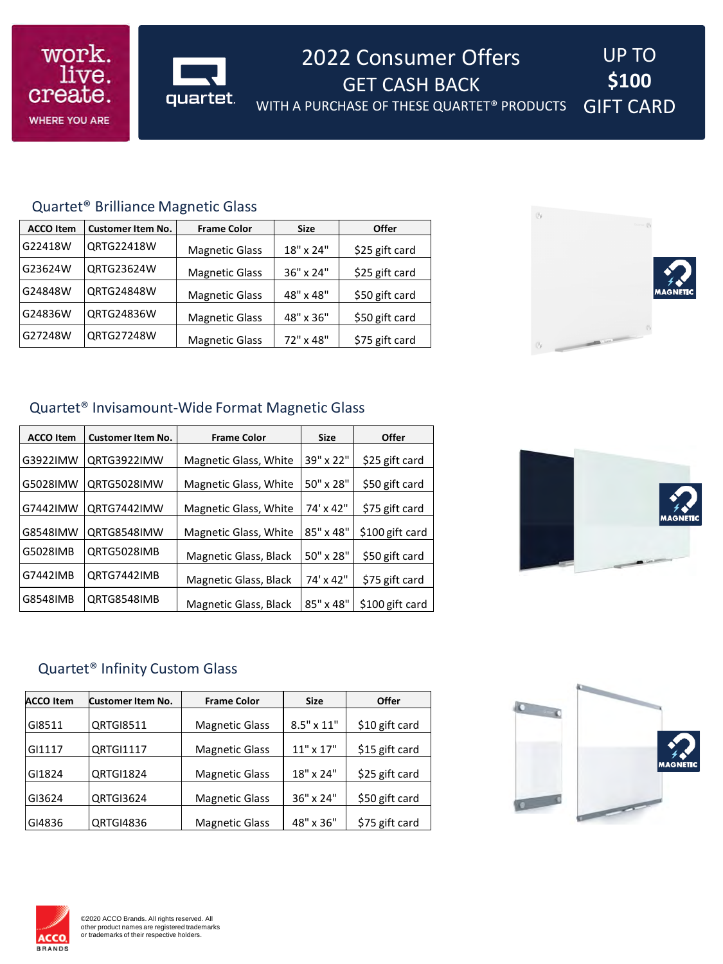2022 Consumer Offers GET CASH BACK WITH A PURCHASE OF THESE QUARTET® PRODUCTS UP TO **\$100** GIFT CARD

## Quartet® Brilliance Magnetic Glass

work.<br>liye.

create.

**WHERE YOU ARE** 

| <b>ACCO Item</b> | <b>Customer Item No.</b> | <b>Frame Color</b>    | <b>Size</b> | Offer          |
|------------------|--------------------------|-----------------------|-------------|----------------|
| G22418W          | <b>ORTG22418W</b>        | <b>Magnetic Glass</b> | 18" x 24"   | \$25 gift card |
| G23624W          | QRTG23624W               | <b>Magnetic Glass</b> | 36" x 24"   | \$25 gift card |
| G24848W          | <b>ORTG24848W</b>        | <b>Magnetic Glass</b> | 48" x 48"   | \$50 gift card |
| G24836W          | <b>ORTG24836W</b>        | <b>Magnetic Glass</b> | 48" x 36"   | \$50 gift card |
| G27248W          | <b>ORTG27248W</b>        | <b>Magnetic Glass</b> | 72" x 48"   | \$75 gift card |

quartet.



## Quartet® Invisamount-Wide Format Magnetic Glass

| <b>ACCO Item</b> | <b>Customer Item No.</b> | <b>Frame Color</b>    | <b>Size</b> | Offer           |
|------------------|--------------------------|-----------------------|-------------|-----------------|
| G3922IMW         | ORTG3922IMW              | Magnetic Glass, White | 39" x 22"   | \$25 gift card  |
| G5028IMW         | ORTG5028IMW              | Magnetic Glass, White | 50" x 28"   | \$50 gift card  |
| G7442IMW         | ORTG7442IMW              | Magnetic Glass, White | 74' x 42"   | \$75 gift card  |
| G8548IMW         | ORTG8548IMW              | Magnetic Glass, White | 85" x 48"   | \$100 gift card |
| G5028IMB         | ORTG5028IMB              | Magnetic Glass, Black | 50" x 28"   | \$50 gift card  |
| G7442IMB         | ORTG7442IMB              | Magnetic Glass, Black | 74' x 42"   | \$75 gift card  |
| G8548IMB         | QRTG8548IMB              | Magnetic Glass, Black | 85" x 48"   | \$100 gift card |



## Quartet® Infinity Custom Glass

| <b>ACCO Item</b> | Customer Item No. | <b>Frame Color</b>    | <b>Size</b>      | Offer          |
|------------------|-------------------|-----------------------|------------------|----------------|
| GI8511           | <b>QRTGI8511</b>  | <b>Magnetic Glass</b> | 8.5" x 11"       | \$10 gift card |
| GI1117           | <b>QRTGI1117</b>  | <b>Magnetic Glass</b> | $11" \times 17"$ | \$15 gift card |
| GI1824           | QRTGI1824         | <b>Magnetic Glass</b> | 18" x 24"        | \$25 gift card |
| GI3624           | QRTGI3624         | <b>Magnetic Glass</b> | 36" x 24"        | \$50 gift card |
| GI4836           | QRTGI4836         | <b>Magnetic Glass</b> | 48" x 36"        | \$75 gift card |